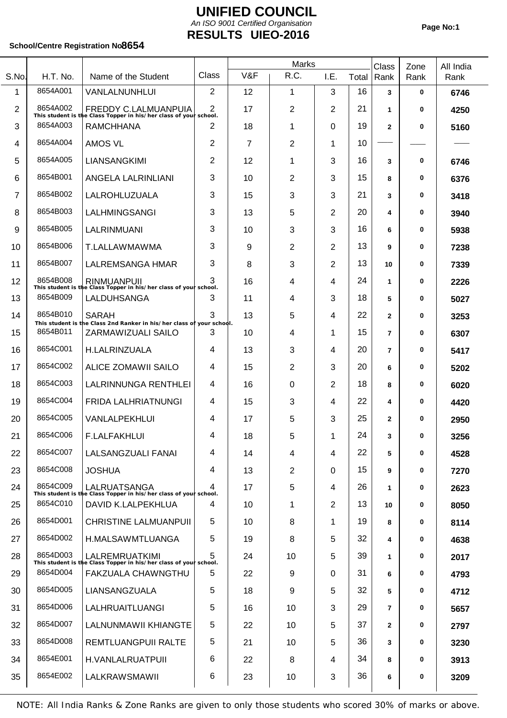## **UNIFIED COUNCIL UIEO-2016 RESULTS** *An ISO 9001 Certified Organisation*

T

### School/Centre Registration No8654

T

|                |          |                                                                                                  |                | Marks |                |          |       | Class          | Zone        | All India |
|----------------|----------|--------------------------------------------------------------------------------------------------|----------------|-------|----------------|----------|-------|----------------|-------------|-----------|
| S.No.          | H.T. No. | Name of the Student                                                                              | Class          | V&F   | R.C.           | I.E.     | Total | Rank           | Rank        | Rank      |
| 1              | 8654A001 | VANLALNUNHLUI                                                                                    | $\overline{2}$ | 12    | 1              | 3        | 16    | 3              | 0           | 6746      |
| $\overline{2}$ | 8654A002 | <b>FREDDY C.LALMUANPUIA</b><br>This student is the Class Topper in his/her class of your school. | 2              | 17    | $\overline{2}$ | 2        | 21    | 1              | $\bf{0}$    | 4250      |
| 3              | 8654A003 | <b>RAMCHHANA</b>                                                                                 | 2              | 18    | 1              | $\Omega$ | 19    | $\overline{2}$ | 0           | 5160      |
| 4              | 8654A004 | <b>AMOS VL</b>                                                                                   | 2              | 7     | 2              | 1        | 10    |                |             |           |
| 5              | 8654A005 | LIANSANGKIMI                                                                                     | 2              | 12    | 1              | 3        | 16    | 3              | 0           | 6746      |
| 6              | 8654B001 | ANGELA LALRINLIANI                                                                               | 3              | 10    | 2              | 3        | 15    | 8              | 0           | 6376      |
| $\overline{7}$ | 8654B002 | LALROHLUZUALA                                                                                    | 3              | 15    | 3              | 3        | 21    | 3              | 0           | 3418      |
| 8              | 8654B003 | LALHMINGSANGI                                                                                    | 3              | 13    | 5              | 2        | 20    | 4              | 0           | 3940      |
| 9              | 8654B005 | LALRINMUANI                                                                                      | 3              | 10    | 3              | 3        | 16    | 6              | 0           | 5938      |
| 10             | 8654B006 | T.LALLAWMAWMA                                                                                    | 3              | 9     | 2              | 2        | 13    | 9              | 0           | 7238      |
| 11             | 8654B007 | LALREMSANGA HMAR                                                                                 | 3              | 8     | 3              | 2        | 13    | 10             | 0           | 7339      |
| 12             |          | 8654B008   RINMUANPUII<br>This student is the Class Topper in his/her class of your school.      |                | 16    | 4              | 4        | 24    | 1              | 0           | 2226      |
| 13             | 8654B009 | LALDUHSANGA                                                                                      | 3              | 11    | 4              | 3        | 18    | 5              | 0           | 5027      |
| 14             | 8654B010 | <b>SARAH</b><br>This student is the Class 2nd Ranker in his/her class of your school.            | 3              | 13    | 5              | 4        | 22    | $\mathbf{2}$   | 0           | 3253      |
| 15             | 8654B011 | ZARMAWIZUALI SAILO                                                                               | 3              | 10    | 4              | 1        | 15    | $\overline{7}$ | 0           | 6307      |
| 16             | 8654C001 | H.LALRINZUALA                                                                                    | 4              | 13    | 3              | 4        | 20    | $\overline{7}$ | 0           | 5417      |
| 17             | 8654C002 | <b>ALICE ZOMAWII SAILO</b>                                                                       | 4              | 15    | $\overline{2}$ | 3        | 20    | 6              | 0           | 5202      |
| 18             | 8654C003 | LALRINNUNGA RENTHLEI                                                                             | 4              | 16    | 0              | 2        | 18    | 8              | 0           | 6020      |
| 19             | 8654C004 | FRIDA LALHRIATNUNGI                                                                              | 4              | 15    | 3              | 4        | 22    | 4              | 0           | 4420      |
| 20             | 8654C005 | VANLALPEKHLUI                                                                                    | 4              | 17    | 5              | 3        | 25    | $\mathbf{2}$   | 0           | 2950      |
| 21             | 8654C006 | <b>F.LALFAKHLUI</b>                                                                              | 4              | 18    | 5              | 1        | 24    | 3              | 0           | 3256      |
| 22             | 8654C007 | LALSANGZUALI FANAI                                                                               | 4              | 14    | 4              | 4        | 22    | 5              | $\bf{0}$    | 4528      |
| 23             | 8654C008 | <b>JOSHUA</b>                                                                                    | 4              | 13    | $\overline{2}$ | $\Omega$ | 15    | 9              | 0           | 7270      |
| 24             | 8654C009 | LALRUATSANGA<br>This student is the Class Topper in his/her class of your school.                | 4              | 17    | 5              | 4        | 26    | 1              | 0           | 2623      |
| 25             | 8654C010 | DAVID K.LALPEKHLUA                                                                               | 4              | 10    | 1              | 2        | 13    | 10             | 0           | 8050      |
| 26             | 8654D001 | <b>CHRISTINE LALMUANPUII</b>                                                                     | 5              | 10    | 8              | 1        | 19    | 8              | 0           | 8114      |
| 27             | 8654D002 | H.MALSAWMTLUANGA                                                                                 | 5              | 19    | 8              | 5        | 32    | 4              | 0           | 4638      |
| 28             | 8654D003 | <b>LALREMRUATKIMI</b><br>This student is the Class Topper in his/her class of your school.       | 5              | 24    | 10             | 5        | 39    | 1              | 0           | 2017      |
| 29             | 8654D004 | FAKZUALA CHAWNGTHU                                                                               | 5              | 22    | 9              | $\Omega$ | 31    | 6              | 0           | 4793      |
| 30             | 8654D005 | LIANSANGZUALA                                                                                    | 5              | 18    | 9              | 5        | 32    | 5              | $\mathbf 0$ | 4712      |
| 31             | 8654D006 | LALHRUAITLUANGI                                                                                  | 5              | 16    | 10             | 3        | 29    | $\overline{7}$ | $\mathbf 0$ | 5657      |
| 32             | 8654D007 | LALNUNMAWII KHIANGTE                                                                             | 5              | 22    | 10             | 5        | 37    | $\mathbf{2}$   | 0           | 2797      |
| 33             | 8654D008 | REMTLUANGPUII RALTE                                                                              | 5              | 21    | 10             | 5        | 36    | 3              | 0           | 3230      |
| 34             | 8654E001 | H.VANLALRUATPUII                                                                                 | 6              | 22    | 8              | 4        | 34    | 8              | 0           | 3913      |
| 35             | 8654E002 | LALKRAWSMAWII                                                                                    | 6              | 23    | 10             | 3        | 36    | 6              | 0           | 3209      |
|                |          |                                                                                                  |                |       |                |          |       |                |             |           |

NOTE: All India Ranks & Zone Ranks are given to only those students who scored 30% of marks or above.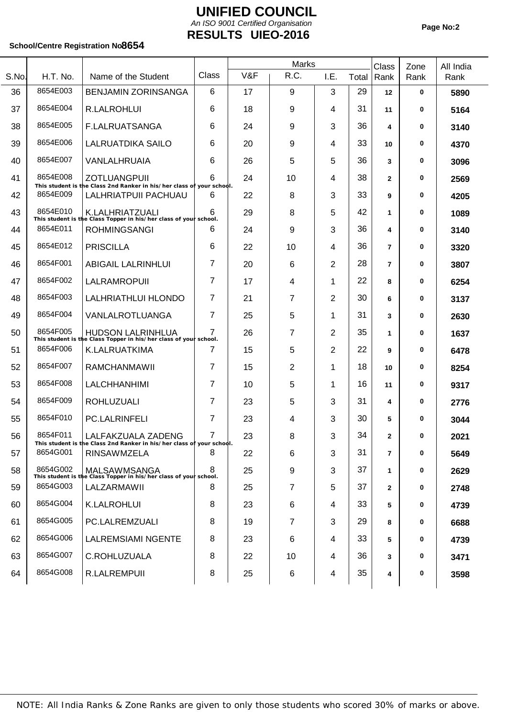## **UNIFIED COUNCIL UIEO-2016 RESULTS** *An ISO 9001 Certified Organisation*

### School/Centre Registration No8654

|       |          |                                                                                               |                | Marks |                |      |       | Class          | Zone | All India |
|-------|----------|-----------------------------------------------------------------------------------------------|----------------|-------|----------------|------|-------|----------------|------|-----------|
| S.No. | H.T. No. | Name of the Student                                                                           | Class          | V&F   | R.C.           | I.E. | Total | Rank           | Rank | Rank      |
| 36    | 8654E003 | <b>BENJAMIN ZORINSANGA</b>                                                                    | 6              | 17    | 9              | 3    | 29    | $12 \,$        | 0    | 5890      |
| 37    | 8654E004 | R.LALROHLUI                                                                                   | 6              | 18    | 9              | 4    | 31    | 11             | 0    | 5164      |
| 38    | 8654E005 | <b>F.LALRUATSANGA</b>                                                                         | 6              | 24    | 9              | 3    | 36    | 4              | 0    | 3140      |
| 39    | 8654E006 | <b>LALRUATDIKA SAILO</b>                                                                      | 6              | 20    | 9              | 4    | 33    | 10             | 0    | 4370      |
| 40    | 8654E007 | VANLALHRUAIA                                                                                  | 6              | 26    | 5              | 5    | 36    | 3              | 0    | 3096      |
| 41    | 8654E008 | <b>ZOTLUANGPUII</b><br>This student is the Class 2nd Ranker in his/her class of your school.  | 6              | 24    | 10             | 4    | 38    | $\overline{2}$ | 0    | 2569      |
| 42    | 8654E009 | LALHRIATPUII PACHUAU                                                                          | 6              | 22    | 8              | 3    | 33    | 9              | 0    | 4205      |
| 43    | 8654E010 | K.LALHRIATZUALI<br>This student is the Class Topper in his/her class of your school.          | 6              | 29    | 8              | 5    | 42    | 1              | 0    | 1089      |
| 44    | 8654E011 | <b>ROHMINGSANGI</b>                                                                           | 6              | 24    | 9              | 3    | 36    | 4              | 0    | 3140      |
| 45    | 8654E012 | <b>PRISCILLA</b>                                                                              | 6              | 22    | 10             | 4    | 36    | $\overline{7}$ | 0    | 3320      |
| 46    | 8654F001 | <b>ABIGAIL LALRINHLUI</b>                                                                     | 7              | 20    | 6              | 2    | 28    | $\overline{7}$ | 0    | 3807      |
| 47    | 8654F002 | LALRAMROPUII                                                                                  | 7              | 17    | 4              | 1    | 22    | 8              | 0    | 6254      |
| 48    | 8654F003 | LALHRIATHLUI HLONDO                                                                           | 7              | 21    | 7              | 2    | 30    | 6              | 0    | 3137      |
| 49    | 8654F004 | VANLALROTLUANGA                                                                               | 7              | 25    | 5              | 1    | 31    | 3              | 0    | 2630      |
| 50    | 8654F005 | <b>HUDSON LALRINHLUA</b><br>This student is the Class Topper in his/her class of your school. | $\overline{7}$ | 26    | 7              | 2    | 35    | 1              | 0    | 1637      |
| 51    | 8654F006 | K.LALRUATKIMA                                                                                 | 7              | 15    | 5              | 2    | 22    | 9              | 0    | 6478      |
| 52    | 8654F007 | RAMCHANMAWII                                                                                  | 7              | 15    | $\overline{2}$ | 1    | 18    | 10             | 0    | 8254      |
| 53    | 8654F008 | <b>LALCHHANHIMI</b>                                                                           | 7              | 10    | 5              | 1    | 16    | 11             | 0    | 9317      |
| 54    | 8654F009 | <b>ROHLUZUALI</b>                                                                             | 7              | 23    | 5              | 3    | 31    | 4              | 0    | 2776      |
| 55    | 8654F010 | <b>PC.LALRINFELI</b>                                                                          | 7              | 23    | 4              | 3    | 30    | 5              | 0    | 3044      |
| 56    | 8654F011 | LALFAKZUALA ZADENG<br>This student is the Class 2nd Ranker in his/her class of your school.   | 7              | 23    | 8              | 3    | 34    | $\mathbf{2}$   | 0    | 2021      |
| 57    | 8654G001 | <b>RINSAWMZELA</b>                                                                            | 8              | 22    | 6              | 3    | 31    | $\overline{7}$ | 0    | 5649      |
| 58    | 8654G002 | MALSAWMSANGA<br>This student is the Class Topper in his/her class of your school.             | 8              | 25    | 9              | 3    | 37    | 1              | 0    | 2629      |
| 59    | 8654G003 | LALZARMAWII                                                                                   | 8              | 25    | 7              | 5    | 37    | $\mathbf{2}$   | 0    | 2748      |
| 60    | 8654G004 | K.LALROHLUI                                                                                   | 8              | 23    | 6              | 4    | 33    | 5              | 0    | 4739      |
| 61    | 8654G005 | PC.LALREMZUALI                                                                                | 8              | 19    | 7              | 3    | 29    | 8              | 0    | 6688      |
| 62    | 8654G006 | <b>LALREMSIAMI NGENTE</b>                                                                     | 8              | 23    | 6              | 4    | 33    | 5              | 0    | 4739      |
| 63    | 8654G007 | C.ROHLUZUALA                                                                                  | 8              | 22    | 10             | 4    | 36    | 3              | 0    | 3471      |
| 64    | 8654G008 | R.LALREMPUII                                                                                  | 8              | 25    | 6              | 4    | 35    | 4              | 0    | 3598      |
|       |          |                                                                                               |                |       |                |      |       |                |      |           |